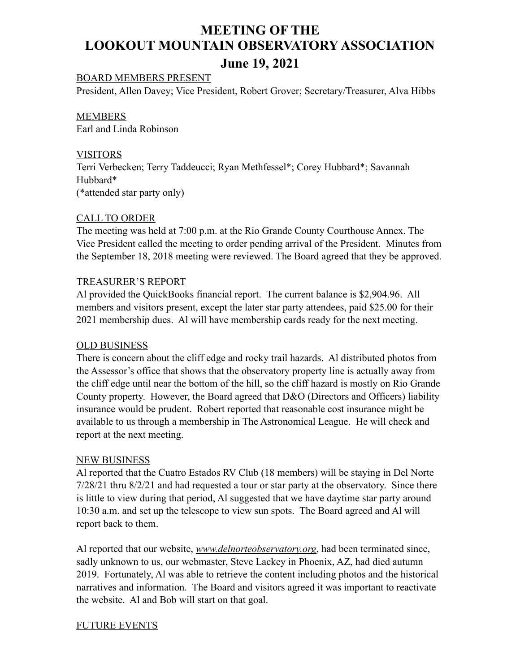# **MEETING OF THE LOOKOUT MOUNTAIN OBSERVATORY ASSOCIATION June 19, 2021**

# BOARD MEMBERS PRESENT

President, Allen Davey; Vice President, Robert Grover; Secretary/Treasurer, Alva Hibbs

MEMBERS Earl and Linda Robinson

# VISITORS

Terri Verbecken; Terry Taddeucci; Ryan Methfessel\*; Corey Hubbard\*; Savannah Hubbard\* (\*attended star party only)

# CALL TO ORDER

The meeting was held at 7:00 p.m. at the Rio Grande County Courthouse Annex. The Vice President called the meeting to order pending arrival of the President. Minutes from the September 18, 2018 meeting were reviewed. The Board agreed that they be approved.

#### TREASURER'S REPORT

Al provided the QuickBooks financial report. The current balance is \$2,904.96. All members and visitors present, except the later star party attendees, paid \$25.00 for their 2021 membership dues. Al will have membership cards ready for the next meeting.

#### OLD BUSINESS

There is concern about the cliff edge and rocky trail hazards. Al distributed photos from the Assessor's office that shows that the observatory property line is actually away from the cliff edge until near the bottom of the hill, so the cliff hazard is mostly on Rio Grande County property. However, the Board agreed that D&O (Directors and Officers) liability insurance would be prudent. Robert reported that reasonable cost insurance might be available to us through a membership in The Astronomical League. He will check and report at the next meeting.

#### NEW BUSINESS

Al reported that the Cuatro Estados RV Club (18 members) will be staying in Del Norte 7/28/21 thru 8/2/21 and had requested a tour or star party at the observatory. Since there is little to view during that period, Al suggested that we have daytime star party around 10:30 a.m. and set up the telescope to view sun spots. The Board agreed and Al will report back to them.

Al reported that our website, *www.delnorteobservatory.org*, had been terminated since, sadly unknown to us, our webmaster, Steve Lackey in Phoenix, AZ, had died autumn 2019. Fortunately, Al was able to retrieve the content including photos and the historical narratives and information. The Board and visitors agreed it was important to reactivate the website. Al and Bob will start on that goal.

#### FUTURE EVENTS